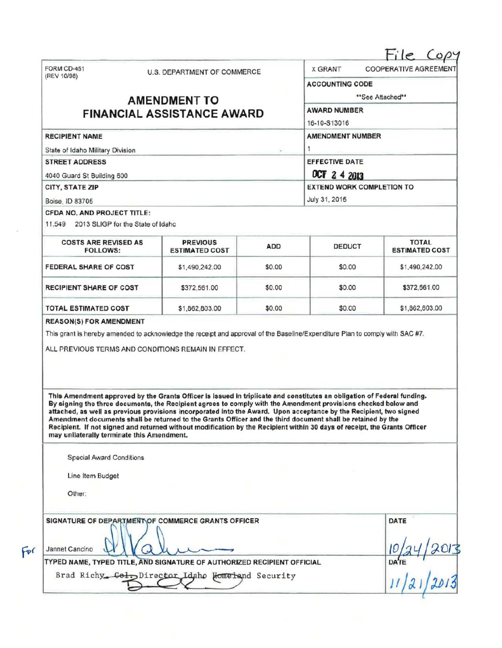| (REV 10/98)                                                                                                                                                                                                                                                                                                                                                                                                                                                                                                                                                                                                                                                                                                                                                                   | U.S. DEPARTMENT OF COMMERCE              |            | <b>X GRANT</b>                               | <b>COOPERATIVE AGREEMENT</b>          |  |                 |               |  |                                  |  |  |
|-------------------------------------------------------------------------------------------------------------------------------------------------------------------------------------------------------------------------------------------------------------------------------------------------------------------------------------------------------------------------------------------------------------------------------------------------------------------------------------------------------------------------------------------------------------------------------------------------------------------------------------------------------------------------------------------------------------------------------------------------------------------------------|------------------------------------------|------------|----------------------------------------------|---------------------------------------|--|-----------------|---------------|--|----------------------------------|--|--|
|                                                                                                                                                                                                                                                                                                                                                                                                                                                                                                                                                                                                                                                                                                                                                                               |                                          |            |                                              | <b>ACCOUNTING CODE</b>                |  |                 |               |  |                                  |  |  |
| <b>AMENDMENT TO</b>                                                                                                                                                                                                                                                                                                                                                                                                                                                                                                                                                                                                                                                                                                                                                           | **See Attached**                         |            |                                              |                                       |  |                 |               |  |                                  |  |  |
| <b>FINANCIAL ASSISTANCE AWARD</b>                                                                                                                                                                                                                                                                                                                                                                                                                                                                                                                                                                                                                                                                                                                                             |                                          |            | <b>AWARD NUMBER</b><br>16-10-S13016          |                                       |  |                 |               |  |                                  |  |  |
| <b>RECIPIENT NAME</b>                                                                                                                                                                                                                                                                                                                                                                                                                                                                                                                                                                                                                                                                                                                                                         |                                          |            | <b>AMENDMENT NUMBER</b>                      |                                       |  |                 |               |  |                                  |  |  |
| State of Idaho Military Division<br><b>STREET ADDRESS</b><br>4040 Guard St Building 600                                                                                                                                                                                                                                                                                                                                                                                                                                                                                                                                                                                                                                                                                       |                                          |            | <b>EFFECTIVE DATE</b><br><b>DCT 2 4 2013</b> |                                       |  |                 |               |  |                                  |  |  |
|                                                                                                                                                                                                                                                                                                                                                                                                                                                                                                                                                                                                                                                                                                                                                                               |                                          |            |                                              |                                       |  | CITY, STATE ZIP |               |  | <b>EXTEND WORK COMPLETION TO</b> |  |  |
|                                                                                                                                                                                                                                                                                                                                                                                                                                                                                                                                                                                                                                                                                                                                                                               |                                          |            |                                              |                                       |  | Boise, ID 83705 | July 31, 2016 |  |                                  |  |  |
| CFDA NO. AND PROJECT TITLE:                                                                                                                                                                                                                                                                                                                                                                                                                                                                                                                                                                                                                                                                                                                                                   |                                          |            |                                              |                                       |  |                 |               |  |                                  |  |  |
| 11.549 2013 SLIGP for the State of Idaho                                                                                                                                                                                                                                                                                                                                                                                                                                                                                                                                                                                                                                                                                                                                      |                                          |            |                                              |                                       |  |                 |               |  |                                  |  |  |
| <b>COSTS ARE REVISED AS</b><br><b>FOLLOWS:</b>                                                                                                                                                                                                                                                                                                                                                                                                                                                                                                                                                                                                                                                                                                                                | <b>PREVIOUS</b><br><b>ESTIMATED COST</b> | <b>ADD</b> | <b>DEDUCT</b>                                | <b>TOTAL</b><br><b>ESTIMATED COST</b> |  |                 |               |  |                                  |  |  |
| <b>FEDERAL SHARE OF COST</b>                                                                                                                                                                                                                                                                                                                                                                                                                                                                                                                                                                                                                                                                                                                                                  | \$1,490,242.00                           | \$0.00     | \$0.00                                       | \$1,490,242.00                        |  |                 |               |  |                                  |  |  |
| <b>RECIPIENT SHARE OF COST</b>                                                                                                                                                                                                                                                                                                                                                                                                                                                                                                                                                                                                                                                                                                                                                | \$372,561.00                             | \$0.00     | \$0.00                                       | \$372,561.00                          |  |                 |               |  |                                  |  |  |
|                                                                                                                                                                                                                                                                                                                                                                                                                                                                                                                                                                                                                                                                                                                                                                               |                                          |            |                                              |                                       |  |                 |               |  |                                  |  |  |
| <b>TOTAL ESTIMATED COST</b><br>ALL PREVIOUS TERMS AND CONDITIONS REMAIN IN EFFECT.                                                                                                                                                                                                                                                                                                                                                                                                                                                                                                                                                                                                                                                                                            | \$1,862,803.00                           | \$0.00     | \$0.00                                       |                                       |  |                 |               |  |                                  |  |  |
| <b>REASON(S) FOR AMENDMENT</b><br>This grant is hereby amended to acknowledge the receipt and approval of the Baseline/Expenditure Plan to comply with SAC #7.<br>This Amendment approved by the Grants Officer is issued in triplicate and constitutes an obligation of Federal funding.<br>By signing the three documents, the Recipient agrees to comply with the Amendment provisions checked below and<br>attached, as well as previous provisions incorporated into the Award. Upon acceptance by the Recipient, two signed<br>Amendment documents shall be returned to the Grants Officer and the third document shall be retained by the<br>Recipient. If not signed and returned without modification by the Recipient within 30 days of receipt, the Grants Officer |                                          |            |                                              | \$1,862,803.00                        |  |                 |               |  |                                  |  |  |
| may unilaterally terminate this Amendment.<br><b>Special Award Conditions</b>                                                                                                                                                                                                                                                                                                                                                                                                                                                                                                                                                                                                                                                                                                 |                                          |            |                                              |                                       |  |                 |               |  |                                  |  |  |
| Line Item Budget                                                                                                                                                                                                                                                                                                                                                                                                                                                                                                                                                                                                                                                                                                                                                              |                                          |            |                                              |                                       |  |                 |               |  |                                  |  |  |
| Other:                                                                                                                                                                                                                                                                                                                                                                                                                                                                                                                                                                                                                                                                                                                                                                        |                                          |            |                                              |                                       |  |                 |               |  |                                  |  |  |
| SIGNATURE OF DEPARTMENT OF COMMERCE GRANTS OFFICER                                                                                                                                                                                                                                                                                                                                                                                                                                                                                                                                                                                                                                                                                                                            |                                          |            |                                              | DATE                                  |  |                 |               |  |                                  |  |  |
| Jannet Cancino<br>ال -                                                                                                                                                                                                                                                                                                                                                                                                                                                                                                                                                                                                                                                                                                                                                        |                                          |            |                                              |                                       |  |                 |               |  |                                  |  |  |
| TYPED NAME, TYPED TITLE, AND SIGNATURE OF AUTHORIZED RECIPIENT OFFICIAL<br>Brad Richy Col, Director Idaho Homeland Security                                                                                                                                                                                                                                                                                                                                                                                                                                                                                                                                                                                                                                                   |                                          |            |                                              | $\frac{1}{2013}$                      |  |                 |               |  |                                  |  |  |